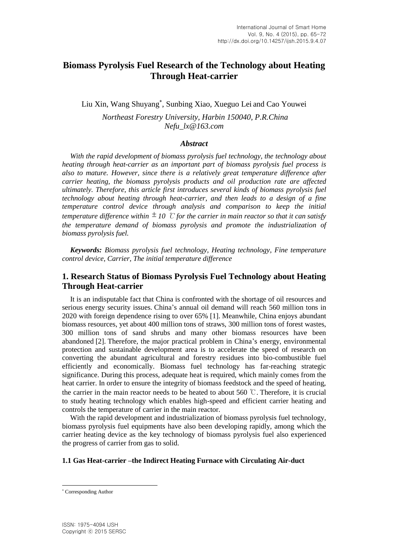# **Biomass Pyrolysis Fuel Research of the Technology about Heating Through Heat-carrier**

Liu Xin, Wang Shuyang , Sunbing Xiao, Xueguo Lei and Cao Youwei *Northeast Forestry University, Harbin 150040, P.R.China Nefu\_lx@163.com*

# *Abstract*

*With the rapid development of biomass pyrolysis fuel technology, the technology about heating through heat-carrier as an important part of biomass pyrolysis fuel process is also to mature. However, since there is a relatively great temperature difference after carrier heating, the biomass pyrolysis products and oil production rate are affected ultimately. Therefore, this article first introduces several kinds of biomass pyrolysis fuel technology about heating through heat-carrier, and then leads to a design of a fine temperature control device through analysis and comparison to keep the initial temperature difference within 10* ℃ *for the carrier in main reactor so that it can satisfy the temperature demand of biomass pyrolysis and promote the industrialization of biomass pyrolysis fuel.*

*Keywords: Biomass pyrolysis fuel technology, Heating technology, Fine temperature control device, Carrier, The initial temperature difference*

# **1. Research Status of Biomass Pyrolysis Fuel Technology about Heating Through Heat-carrier**

It is an indisputable fact that China is confronted with the shortage of oil resources and serious energy security issues. China's annual oil demand will reach 560 million tons in 2020 with foreign dependence rising to over 65% [1]. Meanwhile, China enjoys abundant biomass resources, yet about 400 million tons of straws, 300 million tons of forest wastes, 300 million tons of sand shrubs and many other biomass resources have been abandoned [2]. Therefore, the major practical problem in China's energy, environmental protection and sustainable development area is to accelerate the speed of research on converting the abundant agricultural and forestry residues into bio-combustible fuel efficiently and economically. Biomass fuel technology has far-reaching strategic significance. During this process, adequate heat is required, which mainly comes from the heat carrier. In order to ensure the integrity of biomass feedstock and the speed of heating, the carrier in the main reactor needs to be heated to about 560 ℃. Therefore, it is crucial to study heating technology which enables high-speed and efficient carrier heating and controls the temperature of carrier in the main reactor.

With the rapid development and industrialization of biomass pyrolysis fuel technology, biomass pyrolysis fuel equipments have also been developing rapidly, among which the carrier heating device as the key technology of biomass pyrolysis fuel also experienced the progress of carrier from gas to solid.

### **1.1 Gas Heat-carrier –the Indirect Heating Furnace with Circulating Air-duct**

l

Corresponding Author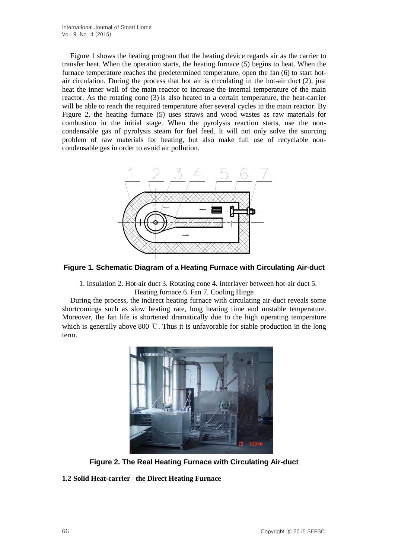Figure 1 shows the heating program that the heating device regards air as the carrier to transfer heat. When the operation starts, the heating furnace (5) begins to heat. When the furnace temperature reaches the predetermined temperature, open the fan (6) to start hotair circulation. During the process that hot air is circulating in the hot-air duct (2), just heat the inner wall of the main reactor to increase the internal temperature of the main reactor. As the rotating cone (3) is also heated to a certain temperature, the heat-carrier will be able to reach the required temperature after several cycles in the main reactor. By Figure 2, the heating furnace (5) uses straws and wood wastes as raw materials for combustion in the initial stage. When the pyrolysis reaction starts, use the noncondensable gas of pyrolysis steam for fuel feed. It will not only solve the sourcing problem of raw materials for heating, but also make full use of recyclable noncondensable gas in order to avoid air pollution.



**Figure 1. Schematic Diagram of a Heating Furnace with Circulating Air-duct**

1. Insulation 2. Hot-air duct 3. Rotating cone 4. Interlayer between hot-air duct 5. Heating furnace 6. Fan 7. Cooling Hinge

During the process, the indirect heating furnace with circulating air-duct reveals some shortcomings such as slow heating rate, long heating time and unstable temperature. Moreover, the fan life is shortened dramatically due to the high operating temperature which is generally above 800 ℃. Thus it is unfavorable for stable production in the long term.



**Figure 2. The Real Heating Furnace with Circulating Air-duct** 

# **1.2 Solid Heat-carrier –the Direct Heating Furnace**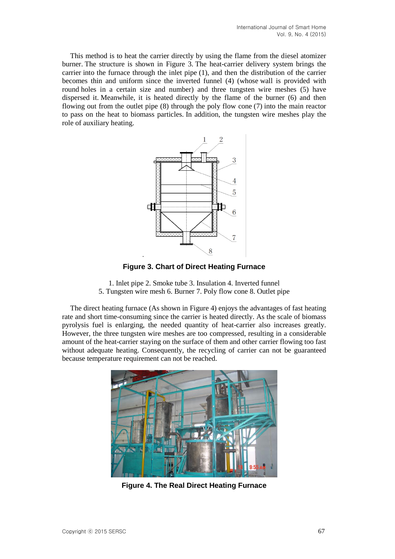This method is to heat the carrier directly by using the flame from the diesel atomizer burner. The structure is shown in Figure 3. The heat-carrier delivery system brings the carrier into the furnace through the inlet pipe (1), and then the distribution of the carrier becomes thin and uniform since the inverted funnel (4) (whose wall is provided with round holes in a certain size and number) and three tungsten wire meshes (5) have dispersed it. Meanwhile, it is heated directly by the flame of the burner (6) and then flowing out from the outlet pipe (8) through the poly flow cone (7) into the main reactor to pass on the heat to biomass particles. In addition, the tungsten wire meshes play the role of auxiliary heating.



**Figure 3. Chart of Direct Heating Furnace**

1. Inlet pipe 2. Smoke tube 3. Insulation 4. Inverted funnel 5. Tungsten wire mesh 6. Burner 7. Poly flow cone 8. Outlet pipe

The direct heating furnace (As shown in Figure 4) enjoys the advantages of fast heating rate and short time-consuming since the carrier is heated directly. As the scale of biomass pyrolysis fuel is enlarging, the needed quantity of heat-carrier also increases greatly. However, the three tungsten wire meshes are too compressed, resulting in a considerable amount of the heat-carrier staying on the surface of them and other carrier flowing too fast without adequate heating. Consequently, the recycling of carrier can not be guaranteed because temperature requirement can not be reached.



**Figure 4. The Real Direct Heating Furnace**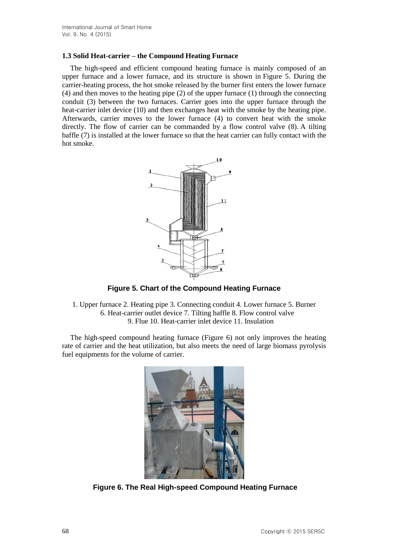### **1.3 Solid Heat-carrier – the Compound Heating Furnace**

The high-speed and efficient compound heating furnace is mainly composed of an upper furnace and a lower furnace, and its structure is shown in Figure 5. During the carrier-heating process, the hot smoke released by the burner first enters the lower furnace (4) and then moves to the heating pipe (2) of the upper furnace (1) through the connecting conduit (3) between the two furnaces. Carrier goes into the upper furnace through the heat-carrier inlet device (10) and then exchanges heat with the smoke by the heating pipe. Afterwards, carrier moves to the lower furnace (4) to convert heat with the smoke directly. The flow of carrier can be commanded by a flow control valve (8). A tilting baffle (7) is installed at the lower furnace so that the heat carrier can fully contact with the hot smoke.



**Figure 5. Chart of the Compound Heating Furnace**

1. Upper furnace 2. Heating pipe 3. Connecting conduit 4. Lower furnace 5. Burner 6. Heat-carrier outlet device 7. Tilting baffle 8. Flow control valve 9. Flue 10. Heat-carrier inlet device 11. Insulation

The high-speed compound heating furnace (Figure 6) not only improves the heating rate of carrier and the heat utilization, but also meets the need of large biomass pyrolysis fuel equipments for the volume of carrier.



**Figure 6. The Real High-speed Compound Heating Furnace**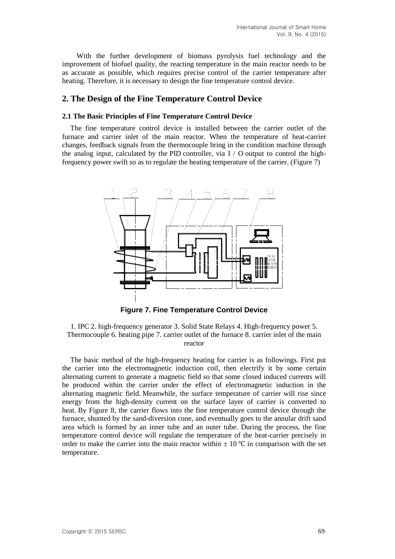With the further development of biomass pyrolysis fuel technology and the improvement of biofuel quality, the reacting temperature in the main reactor needs to be as accurate as possible, which requires precise control of the carrier temperature after heating. Therefore, it is necessary to design the fine temperature control device.

# **2. The Design of the Fine Temperature Control Device**

#### **2.1 The Basic Principles of Fine Temperature Control Device**

The fine temperature control device is installed between the carrier outlet of the furnace and carrier inlet of the main reactor. When the temperature of heat-carrier changes, feedback signals from the thermocouple bring in the condition machine through the analog input, calculated by the PID controller, via  $I / O$  output to control the highfrequency power swift so as to regulate the heating temperature of the carrier. (Figure 7)



**Figure 7. Fine Temperature Control Device** 

1. IPC 2. high-frequency generator 3. Solid State Relays 4. High-frequency power 5. Thermocouple 6. heating pipe 7. carrier outlet of the furnace 8. carrier inlet of the main reactor

The basic method of the high-frequency heating for carrier is as followings. First put the carrier into the electromagnetic induction coil, then electrify it by some certain alternating current to generate a magnetic field so that some closed induced currents will be produced within the carrier under the effect of electromagnetic induction in the alternating magnetic field. Meanwhile, the surface temperature of carrier will rise since energy from the high-density current on the surface layer of carrier is converted to heat. By Figure 8, the carrier flows into the fine temperature control device through the furnace, shunted by the sand-diversion cone, and eventually goes to the annular drift sand area which is formed by an inner tube and an outer tube. During the process, the fine temperature control device will regulate the temperature of the heat-carrier precisely in order to make the carrier into the main reactor within  $\pm 10^{\circ}$ C in comparison with the set temperature.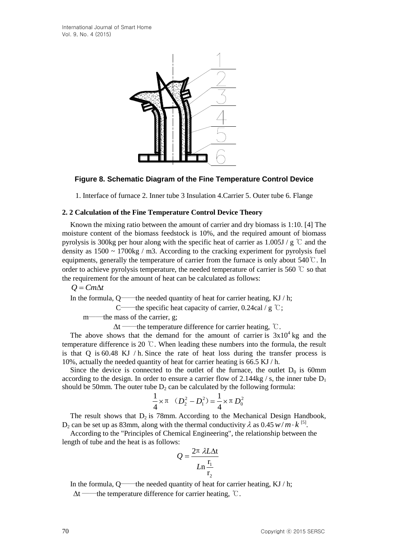

# **Figure 8. Schematic Diagram of the Fine Temperature Control Device**

1. Interface of furnace 2. Inner tube 3 Insulation 4.Carrier 5. Outer tube 6. Flange

### **2. 2 Calculation of the Fine Temperature Control Device Theory**

Known the mixing ratio between the amount of carrier and dry biomass is 1:10. [4] The moisture content of the biomass feedstock is 10%, and the required amount of biomass pyrolysis is 300kg per hour along with the specific heat of carrier as  $1.005J / g$  °C and the density as  $1500 \sim 1700$  kg / m3. According to the cracking experiment for pyrolysis fuel equipments, generally the temperature of carrier from the furnace is only about 540℃. In order to achieve pyrolysis temperature, the needed temperature of carrier is 560  $\degree$  so that the requirement for the amount of heat can be calculated as follows:

 $Q = Cm\Delta t$ 

In the formula,  $Q$ ——the needed quantity of heat for carrier heating, KJ / h;

C——the specific heat capacity of carrier,  $0.24 \text{cal} / g \text{ }^{\circ}\text{C}$ ;

m——the mass of the carrier, g;

 $\Delta t$  ——the temperature difference for carrier heating,  $\degree$ C.

The above shows that the demand for the amount of carrier is  $3x10^4$  kg and the temperature difference is 20 ℃. When leading these numbers into the formula, the result is that Q is 60.48 KJ / h. Since the rate of heat loss during the transfer process is 10%, actually the needed quantity of heat for carrier heating is 66.5 KJ / h.

Since the device is connected to the outlet of the furnace, the outlet  $D_0$  is 60mm according to the design. In order to ensure a carrier flow of 2.144kg / s, the inner tube  $D_1$ should be 50mm. The outer tube  $D_2$  can be calculated by the following formula:

$$
\frac{1}{4} \times \pi \quad (D_2^2 - D_1^2) = \frac{1}{4} \times \pi D_0^2
$$

The result shows that  $D_2$  is 78mm. According to the Mechanical Design Handbook, D<sub>2</sub> can be set up as 83mm, along with the thermal conductivity  $\lambda$  as 0.45  $w/m \cdot k^{5}$ .

According to the "Principles of Chemical Engineering", the relationship between the length of tube and the heat is as follows:

$$
Q = \frac{2\pi \lambda L \Delta t}{Ln \frac{r_1}{r_2}}
$$

In the formula,  $Q$ ——the needed quantity of heat for carrier heating, KJ / h;

 $\Delta t$  ——the temperature difference for carrier heating,  $\mathcal{C}$ .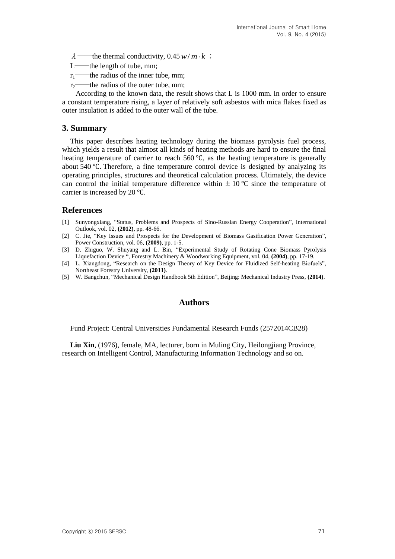$w/m \cdot k$ ;

- L——the length of tube, mm;
- $r_1$ ——the radius of the inner tube, mm;
- $r_2$ ——the radius of the outer tube, mm;

 According to the known data, the result shows that L is 1000 mm. In order to ensure a constant temperature rising, a layer of relatively soft asbestos with mica flakes fixed as outer insulation is added to the outer wall of the tube.

# **3. Summary**

2—the theories of the interesting of the solution of the same of the thermal conductivity,  $(0.45 \text{ w})/m$ ,  $t_1$  ——the radius of the interesting man,<br>  $t_1$  ——the radius of the interesting man, the result shows that L is 1 This paper describes heating technology during the biomass pyrolysis fuel process, which yields a result that almost all kinds of heating methods are hard to ensure the final heating temperature of carrier to reach 560 ℃, as the heating temperature is generally about 540 ℃. Therefore, a fine temperature control device is designed by analyzing its operating principles, structures and theoretical calculation process. Ultimately, the device can control the initial temperature difference within  $\pm 10^{\circ}$ C since the temperature of carrier is increased by 20 ℃.

# **References**

- [1] Sunyongxiang, "Status, Problems and Prospects of Sino-Russian Energy Cooperation", International Outlook, vol. 02, **(2012)**, pp. 48-66.
- [2] C. Jie, "Key Issues and Prospects for the Development of Biomass Gasification Power Generation", Power Construction, vol. 06, **(2009)**, pp. 1-5.
- [3] D. Zhiguo, W. Shuyang and L. Bin, "Experimental Study of Rotating Cone Biomass Pyrolysis Liquefaction Device ", Forestry Machinery & Woodworking Equipment, vol. 04, **(2004)**, pp. 17-19.
- [4] L. Xiangdong, "Research on the Design Theory of Key Device for Fluidized Self-heating Biofuels", Northeast Forestry University, **(2011)**.
- [5] W. Bangchun, "Mechanical Design Handbook 5th Edition", Beijing: Mechanical Industry Press, **(2014)**.

## **Authors**

Fund Project: Central Universities Fundamental Research Funds (2572014CB28)

**Liu Xin**, (1976), female, MA, lecturer, born in Muling City, Heilongjiang Province, research on Intelligent Control, Manufacturing Information Technology and so on.